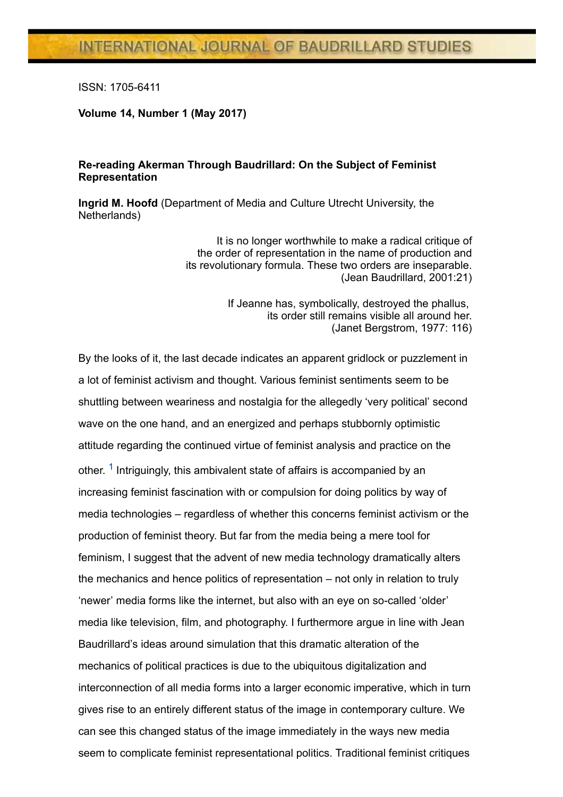ISSN: 17056411

Volume 14, Number 1 (May 2017)

## Re-reading Akerman Through Baudrillard: On the Subject of Feminist Representation

Ingrid M. Hoofd (Department of Media and Culture Utrecht University, the Netherlands)

> It is no longer worthwhile to make a radical critique of the order of representation in the name of production and its revolutionary formula. These two orders are inseparable. (Jean Baudrillard, 2001:21)

> > If Jeanne has, symbolically, destroyed the phallus, its order still remains visible all around her. (Janet Bergstrom, 1977: 116)

<span id="page-0-0"></span>By the looks of it, the last decade indicates an apparent gridlock or puzzlement in a lot of feminist activism and thought. Various feminist sentiments seem to be shuttling between weariness and nostalgia for the allegedly 'very political' second wave on the one hand, and an energized and perhaps stubbornly optimistic attitude regarding the continued virtue of feminist analysis and practice on the other[.](http://www2.ubishops.ca/baudrillardstudies/vol-14_1/one) <sup>[1](#page-20-0)</sup> Intriguingly, this ambivalent state of affairs is accompanied by an increasing feminist fascination with or compulsion for doing politics by way of media technologies – regardless of whether this concerns feminist activism or the production of feminist theory. But far from the media being a mere tool for feminism, I suggest that the advent of new media technology dramatically alters the mechanics and hence politics of representation – not only in relation to truly 'newer' media forms like the internet, but also with an eye on so-called 'older' media like television, film, and photography. I furthermore argue in line with Jean Baudrillard's ideas around simulation that this dramatic alteration of the mechanics of political practices is due to the ubiquitous digitalization and interconnection of all media forms into a larger economic imperative, which in turn gives rise to an entirely different status of the image in contemporary culture. We can see this changed status of the image immediately in the ways new media seem to complicate feminist representational politics. Traditional feminist critiques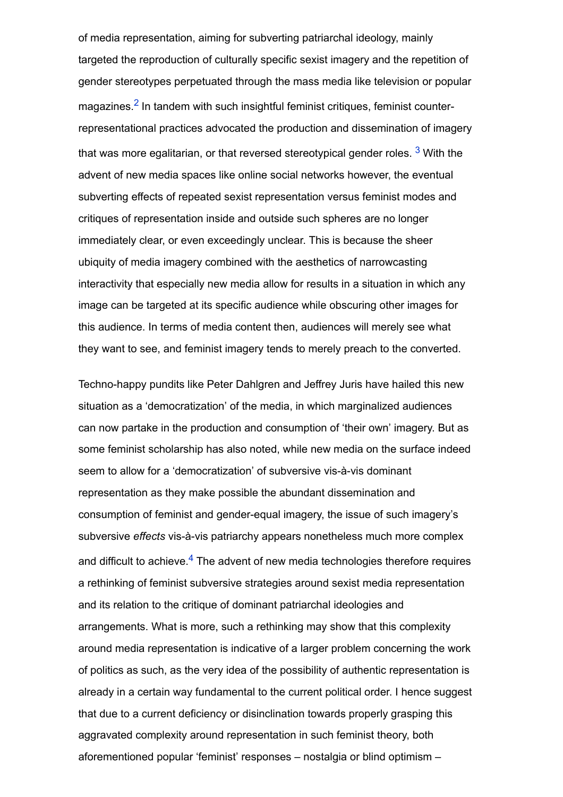<span id="page-1-1"></span><span id="page-1-0"></span>of media representation, aiming for subverting patriarchal ideology, mainly targeted the reproduction of culturally specific sexist imagery and the repetition of gender stereotypes perpetuated through the mass media like television or popular magazines.<sup>[2](#page-20-1)</sup> In tandem with such insightful feminist critiques, feminist counterrepresentational practices advocated the production and dissemination of imagery that was more egalitarian, or that reversed stereotypical gender roles. <sup>[3](#page-21-0)</sup> With the advent of new media spaces like online social networks however, the eventual subverting effects of repeated sexist representation versus feminist modes and critiques of representation inside and outside such spheres are no longer immediately clear, or even exceedingly unclear. This is because the sheer ubiquity of media imagery combined with the aesthetics of narrowcasting interactivity that especially new media allow for results in a situation in which any image can be targeted at its specific audience while obscuring other images for this audience. In terms of media content then, audiences will merely see what they want to see, and feminist imagery tends to merely preach to the converted.

<span id="page-1-2"></span>Techno-happy pundits like Peter Dahlgren and Jeffrey Juris have hailed this new situation as a 'democratization' of the media, in which marginalized audiences can now partake in the production and consumption of 'their own' imagery. But as some feminist scholarship has also noted, while new media on the surface indeed seem to allow for a 'democratization' of subversive vis-à-vis dominant representation as they make possible the abundant dissemination and consumption of feminist and gender-equal imagery, the issue of such imagery's subversive effects vis-à-vis patriarchy appears nonetheless much more complex and difficult to achieve.<sup>[4](#page-21-1)</sup> The advent of new media technologies therefore requires a rethinking of feminist subversive strategies around sexist media representation and its relation to the critique of dominant patriarchal ideologies and arrangements. What is more, such a rethinking may show that this complexity around media representation is indicative of a larger problem concerning the work of politics as such, as the very idea of the possibility of authentic representation is already in a certain way fundamental to the current political order. I hence suggest that due to a current deficiency or disinclination towards properly grasping this aggravated complexity around representation in such feminist theory, both aforementioned popular 'feminist' responses – nostalgia or blind optimism –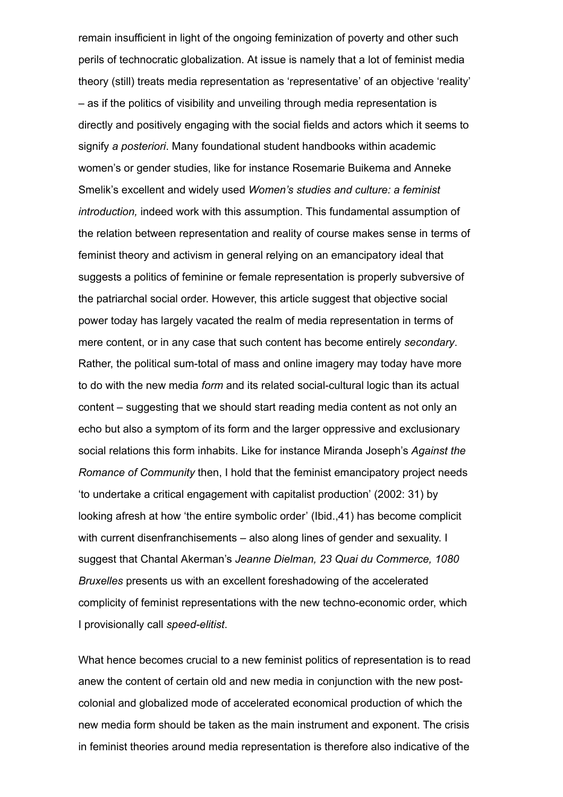remain insufficient in light of the ongoing feminization of poverty and other such perils of technocratic globalization. At issue is namely that a lot of feminist media theory (still) treats media representation as 'representative' of an objective 'reality' – as if the politics of visibility and unveiling through media representation is directly and positively engaging with the social fields and actors which it seems to signify a posteriori. Many foundational student handbooks within academic women's or gender studies, like for instance Rosemarie Buikema and Anneke Smelik's excellent and widely used Women's studies and culture: a feminist introduction, indeed work with this assumption. This fundamental assumption of the relation between representation and reality of course makes sense in terms of feminist theory and activism in general relying on an emancipatory ideal that suggests a politics of feminine or female representation is properly subversive of the patriarchal social order. However, this article suggest that objective social power today has largely vacated the realm of media representation in terms of mere content, or in any case that such content has become entirely secondary. Rather, the political sum-total of mass and online imagery may today have more to do with the new media form and its related social-cultural logic than its actual content – suggesting that we should start reading media content as not only an echo but also a symptom of its form and the larger oppressive and exclusionary social relations this form inhabits. Like for instance Miranda Joseph's Against the Romance of Community then, I hold that the feminist emancipatory project needs 'to undertake a critical engagement with capitalist production' (2002: 31) by looking afresh at how 'the entire symbolic order' (Ibid.,41) has become complicit with current disenfranchisements – also along lines of gender and sexuality. I suggest that Chantal Akerman's Jeanne Dielman, 23 Quai du Commerce, 1080 Bruxelles presents us with an excellent foreshadowing of the accelerated complicity of feminist representations with the new techno-economic order, which I provisionally call speed-elitist.

What hence becomes crucial to a new feminist politics of representation is to read anew the content of certain old and new media in conjunction with the new postcolonial and globalized mode of accelerated economical production of which the new media form should be taken as the main instrument and exponent. The crisis in feminist theories around media representation is therefore also indicative of the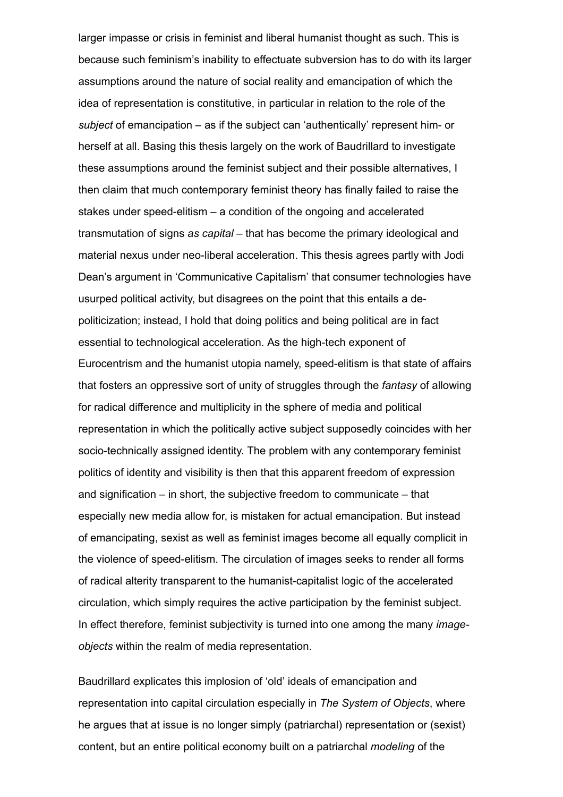larger impasse or crisis in feminist and liberal humanist thought as such. This is because such feminism's inability to effectuate subversion has to do with its larger assumptions around the nature of social reality and emancipation of which the idea of representation is constitutive, in particular in relation to the role of the subject of emancipation  $-$  as if the subject can 'authentically' represent him- or herself at all. Basing this thesis largely on the work of Baudrillard to investigate these assumptions around the feminist subject and their possible alternatives, I then claim that much contemporary feminist theory has finally failed to raise the stakes under speed-elitism  $-$  a condition of the ongoing and accelerated transmutation of signs as capital – that has become the primary ideological and material nexus under neo-liberal acceleration. This thesis agrees partly with Jodi Dean's argument in 'Communicative Capitalism' that consumer technologies have usurped political activity, but disagrees on the point that this entails a depoliticization; instead, I hold that doing politics and being political are in fact essential to technological acceleration. As the high-tech exponent of Eurocentrism and the humanist utopia namely, speed-elitism is that state of affairs that fosters an oppressive sort of unity of struggles through the fantasy of allowing for radical difference and multiplicity in the sphere of media and political representation in which the politically active subject supposedly coincides with her socio-technically assigned identity. The problem with any contemporary feminist politics of identity and visibility is then that this apparent freedom of expression and signification – in short, the subjective freedom to communicate – that especially new media allow for, is mistaken for actual emancipation. But instead of emancipating, sexist as well as feminist images become all equally complicit in the violence of speed-elitism. The circulation of images seeks to render all forms of radical alterity transparent to the humanist-capitalist logic of the accelerated circulation, which simply requires the active participation by the feminist subject. In effect therefore, feminist subjectivity is turned into one among the many *image*objects within the realm of media representation.

Baudrillard explicates this implosion of 'old' ideals of emancipation and representation into capital circulation especially in The System of Objects, where he argues that at issue is no longer simply (patriarchal) representation or (sexist) content, but an entire political economy built on a patriarchal modeling of the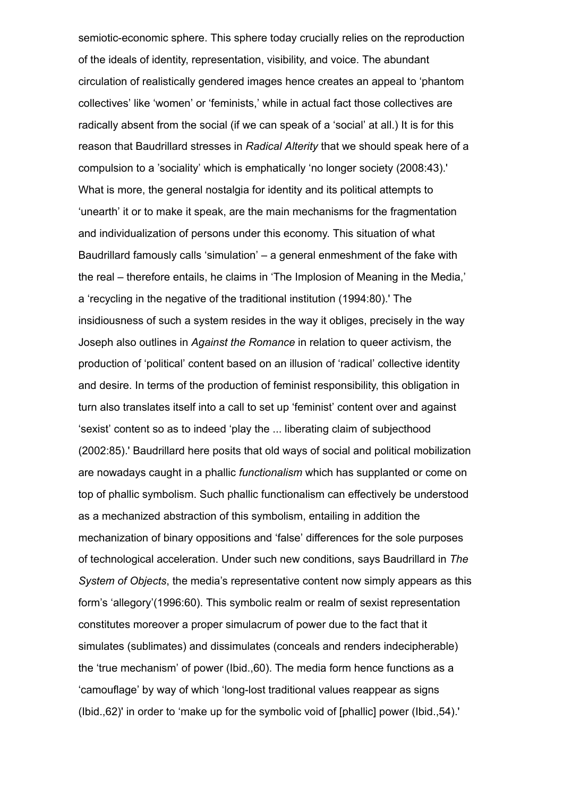semiotic-economic sphere. This sphere today crucially relies on the reproduction of the ideals of identity, representation, visibility, and voice. The abundant circulation of realistically gendered images hence creates an appeal to 'phantom collectives' like 'women' or 'feminists,' while in actual fact those collectives are radically absent from the social (if we can speak of a 'social' at all.) It is for this reason that Baudrillard stresses in Radical Alterity that we should speak here of a compulsion to a 'sociality' which is emphatically 'no longer society (2008:43).' What is more, the general nostalgia for identity and its political attempts to 'unearth' it or to make it speak, are the main mechanisms for the fragmentation and individualization of persons under this economy. This situation of what Baudrillard famously calls 'simulation' – a general enmeshment of the fake with the real – therefore entails, he claims in 'The Implosion of Meaning in the Media,' a 'recycling in the negative of the traditional institution (1994:80).' The insidiousness of such a system resides in the way it obliges, precisely in the way Joseph also outlines in Against the Romance in relation to queer activism, the production of 'political' content based on an illusion of 'radical' collective identity and desire. In terms of the production of feminist responsibility, this obligation in turn also translates itself into a call to set up 'feminist' content over and against 'sexist' content so as to indeed 'play the ... liberating claim of subjecthood (2002:85).' Baudrillard here posits that old ways of social and political mobilization are nowadays caught in a phallic functionalism which has supplanted or come on top of phallic symbolism. Such phallic functionalism can effectively be understood as a mechanized abstraction of this symbolism, entailing in addition the mechanization of binary oppositions and 'false' differences for the sole purposes of technological acceleration. Under such new conditions, says Baudrillard in The System of Objects, the media's representative content now simply appears as this form's 'allegory'(1996:60). This symbolic realm or realm of sexist representation constitutes moreover a proper simulacrum of power due to the fact that it simulates (sublimates) and dissimulates (conceals and renders indecipherable) the 'true mechanism' of power (Ibid.,60). The media form hence functions as a 'camouflage' by way of which 'long-lost traditional values reappear as signs (Ibid.,62)' in order to 'make up for the symbolic void of [phallic] power (Ibid.,54).'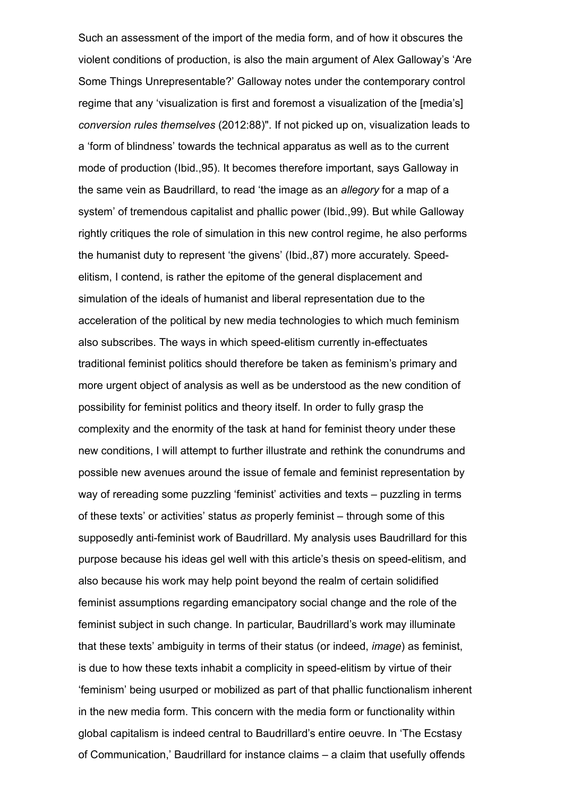Such an assessment of the import of the media form, and of how it obscures the violent conditions of production, is also the main argument of Alex Galloway's 'Are Some Things Unrepresentable?' Galloway notes under the contemporary control regime that any 'visualization is first and foremost a visualization of the [media's] conversion rules themselves (2012:88)". If not picked up on, visualization leads to a 'form of blindness' towards the technical apparatus as well as to the current mode of production (Ibid.,95). It becomes therefore important, says Galloway in the same vein as Baudrillard, to read 'the image as an allegory for a map of a system' of tremendous capitalist and phallic power (Ibid.,99). But while Galloway rightly critiques the role of simulation in this new control regime, he also performs the humanist duty to represent 'the givens' (Ibid.,87) more accurately. Speedelitism, I contend, is rather the epitome of the general displacement and simulation of the ideals of humanist and liberal representation due to the acceleration of the political by new media technologies to which much feminism also subscribes. The ways in which speed-elitism currently in-effectuates traditional feminist politics should therefore be taken as feminism's primary and more urgent object of analysis as well as be understood as the new condition of possibility for feminist politics and theory itself. In order to fully grasp the complexity and the enormity of the task at hand for feminist theory under these new conditions, I will attempt to further illustrate and rethink the conundrums and possible new avenues around the issue of female and feminist representation by way of rereading some puzzling 'feminist' activities and texts – puzzling in terms of these texts' or activities' status as properly feminist – through some of this supposedly anti-feminist work of Baudrillard. My analysis uses Baudrillard for this purpose because his ideas gel well with this article's thesis on speedelitism, and also because his work may help point beyond the realm of certain solidified feminist assumptions regarding emancipatory social change and the role of the feminist subject in such change. In particular, Baudrillard's work may illuminate that these texts' ambiguity in terms of their status (or indeed, image) as feminist, is due to how these texts inhabit a complicity in speed-elitism by virtue of their 'feminism' being usurped or mobilized as part of that phallic functionalism inherent in the new media form. This concern with the media form or functionality within global capitalism is indeed central to Baudrillard's entire oeuvre. In 'The Ecstasy of Communication,' Baudrillard for instance claims – a claim that usefully offends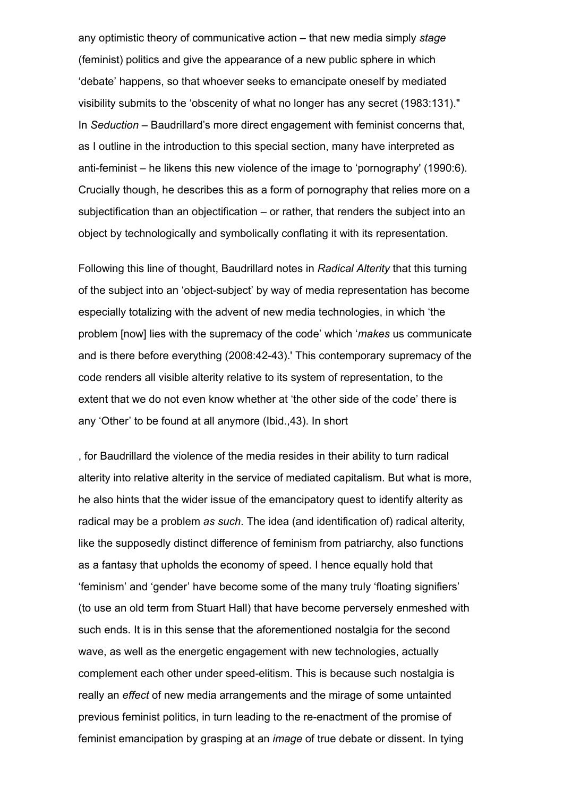any optimistic theory of communicative action – that new media simply stage (feminist) politics and give the appearance of a new public sphere in which 'debate' happens, so that whoever seeks to emancipate oneself by mediated visibility submits to the 'obscenity of what no longer has any secret (1983:131)." In Seduction – Baudrillard's more direct engagement with feminist concerns that, as I outline in the introduction to this special section, many have interpreted as anti-feminist – he likens this new violence of the image to 'pornography' (1990:6). Crucially though, he describes this as a form of pornography that relies more on a subjectification than an objectification – or rather, that renders the subject into an object by technologically and symbolically conflating it with its representation.

Following this line of thought, Baudrillard notes in Radical Alterity that this turning of the subject into an 'object-subject' by way of media representation has become especially totalizing with the advent of new media technologies, in which 'the problem [now] lies with the supremacy of the code' which 'makes us communicate and is there before everything (2008:4243).' This contemporary supremacy of the code renders all visible alterity relative to its system of representation, to the extent that we do not even know whether at 'the other side of the code' there is any 'Other' to be found at all anymore (Ibid.,43). In short

, for Baudrillard the violence of the media resides in their ability to turn radical alterity into relative alterity in the service of mediated capitalism. But what is more, he also hints that the wider issue of the emancipatory quest to identify alterity as radical may be a problem as such. The idea (and identification of) radical alterity, like the supposedly distinct difference of feminism from patriarchy, also functions as a fantasy that upholds the economy of speed. I hence equally hold that 'feminism' and 'gender' have become some of the many truly 'floating signifiers' (to use an old term from Stuart Hall) that have become perversely enmeshed with such ends. It is in this sense that the aforementioned nostalgia for the second wave, as well as the energetic engagement with new technologies, actually complement each other under speed-elitism. This is because such nostalgia is really an effect of new media arrangements and the mirage of some untainted previous feminist politics, in turn leading to the re-enactment of the promise of feminist emancipation by grasping at an image of true debate or dissent. In tying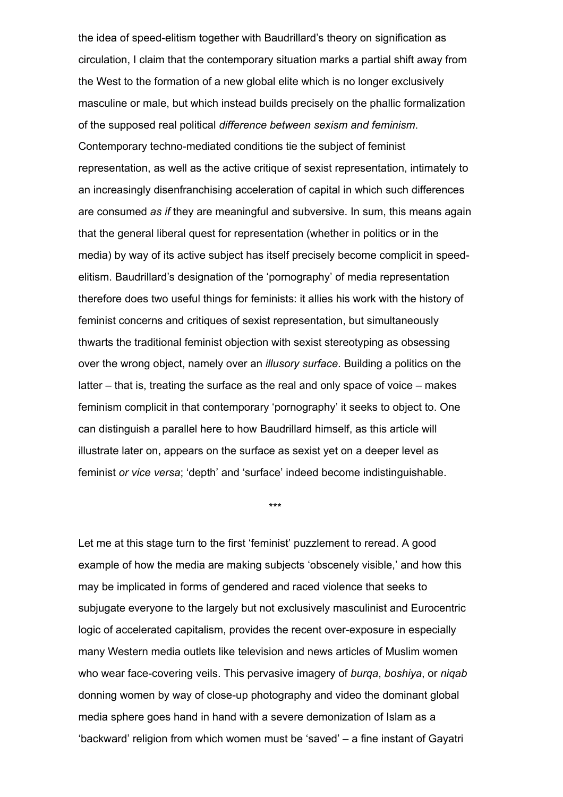the idea of speed-elitism together with Baudrillard's theory on signification as circulation, I claim that the contemporary situation marks a partial shift away from the West to the formation of a new global elite which is no longer exclusively masculine or male, but which instead builds precisely on the phallic formalization of the supposed real political difference between sexism and feminism. Contemporary techno-mediated conditions tie the subject of feminist representation, as well as the active critique of sexist representation, intimately to an increasingly disenfranchising acceleration of capital in which such differences are consumed as if they are meaningful and subversive. In sum, this means again that the general liberal quest for representation (whether in politics or in the media) by way of its active subject has itself precisely become complicit in speedelitism. Baudrillard's designation of the 'pornography' of media representation therefore does two useful things for feminists: it allies his work with the history of feminist concerns and critiques of sexist representation, but simultaneously thwarts the traditional feminist objection with sexist stereotyping as obsessing over the wrong object, namely over an *illusory surface*. Building a politics on the latter – that is, treating the surface as the real and only space of voice – makes feminism complicit in that contemporary 'pornography' it seeks to object to. One can distinguish a parallel here to how Baudrillard himself, as this article will illustrate later on, appears on the surface as sexist yet on a deeper level as feminist or vice versa; 'depth' and 'surface' indeed become indistinguishable.

\*\*\*

Let me at this stage turn to the first 'feminist' puzzlement to reread. A good example of how the media are making subjects 'obscenely visible,' and how this may be implicated in forms of gendered and raced violence that seeks to subjugate everyone to the largely but not exclusively masculinist and Eurocentric logic of accelerated capitalism, provides the recent over-exposure in especially many Western media outlets like television and news articles of Muslim women who wear face-covering veils. This pervasive imagery of burga, boshiya, or nigab donning women by way of close-up photography and video the dominant global media sphere goes hand in hand with a severe demonization of Islam as a 'backward' religion from which women must be 'saved' – a fine instant of Gayatri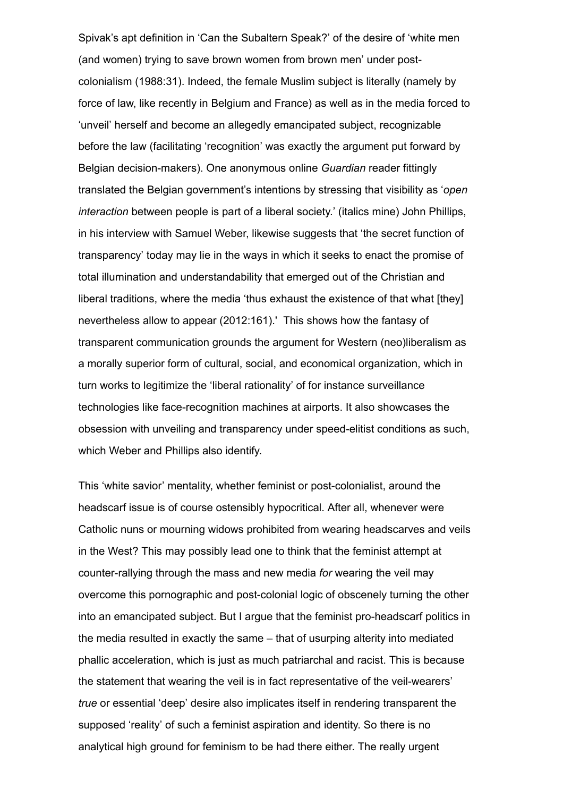Spivak's apt definition in 'Can the Subaltern Speak?' of the desire of 'white men (and women) trying to save brown women from brown men' under postcolonialism (1988:31). Indeed, the female Muslim subject is literally (namely by force of law, like recently in Belgium and France) as well as in the media forced to 'unveil' herself and become an allegedly emancipated subject, recognizable before the law (facilitating 'recognition' was exactly the argument put forward by Belgian decision-makers). One anonymous online Guardian reader fittingly translated the Belgian government's intentions by stressing that visibility as 'open interaction between people is part of a liberal society.' (italics mine) John Phillips, in his interview with Samuel Weber, likewise suggests that 'the secret function of transparency' today may lie in the ways in which it seeks to enact the promise of total illumination and understandability that emerged out of the Christian and liberal traditions, where the media 'thus exhaust the existence of that what [they] nevertheless allow to appear (2012:161).' This shows how the fantasy of transparent communication grounds the argument for Western (neo)liberalism as a morally superior form of cultural, social, and economical organization, which in turn works to legitimize the 'liberal rationality' of for instance surveillance technologies like face-recognition machines at airports. It also showcases the obsession with unveiling and transparency under speed-elitist conditions as such, which Weber and Phillips also identify.

This 'white savior' mentality, whether feminist or post-colonialist, around the headscarf issue is of course ostensibly hypocritical. After all, whenever were Catholic nuns or mourning widows prohibited from wearing headscarves and veils in the West? This may possibly lead one to think that the feminist attempt at counter-rallying through the mass and new media for wearing the veil may overcome this pornographic and post-colonial logic of obscenely turning the other into an emancipated subject. But I argue that the feminist pro-headscarf politics in the media resulted in exactly the same – that of usurping alterity into mediated phallic acceleration, which is just as much patriarchal and racist. This is because the statement that wearing the veil is in fact representative of the veil-wearers' true or essential 'deep' desire also implicates itself in rendering transparent the supposed 'reality' of such a feminist aspiration and identity. So there is no analytical high ground for feminism to be had there either. The really urgent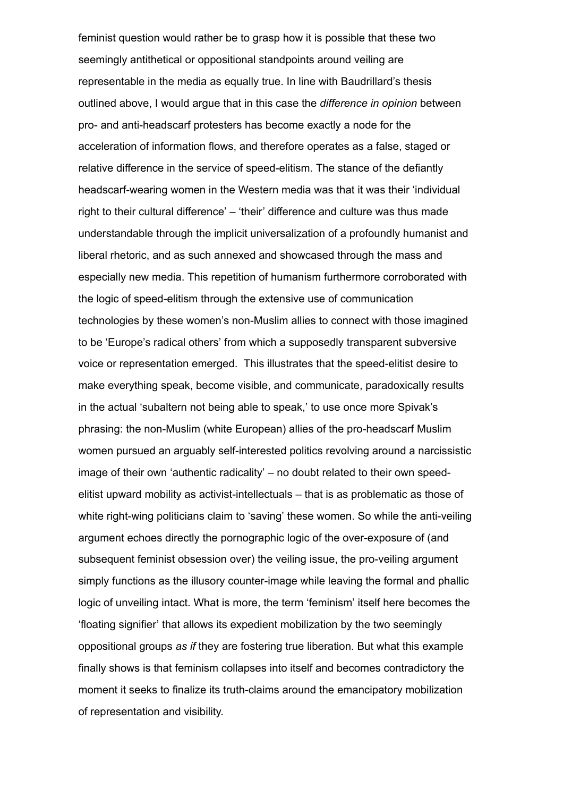feminist question would rather be to grasp how it is possible that these two seemingly antithetical or oppositional standpoints around veiling are representable in the media as equally true. In line with Baudrillard's thesis outlined above, I would argue that in this case the difference in opinion between pro- and anti-headscarf protesters has become exactly a node for the acceleration of information flows, and therefore operates as a false, staged or relative difference in the service of speed-elitism. The stance of the defiantly headscarf-wearing women in the Western media was that it was their 'individual right to their cultural difference' – 'their' difference and culture was thus made understandable through the implicit universalization of a profoundly humanist and liberal rhetoric, and as such annexed and showcased through the mass and especially new media. This repetition of humanism furthermore corroborated with the logic of speed-elitism through the extensive use of communication technologies by these women's non-Muslim allies to connect with those imagined to be 'Europe's radical others' from which a supposedly transparent subversive voice or representation emerged. This illustrates that the speed-elitist desire to make everything speak, become visible, and communicate, paradoxically results in the actual 'subaltern not being able to speak,' to use once more Spivak's phrasing: the non-Muslim (white European) allies of the pro-headscarf Muslim women pursued an arguably self-interested politics revolving around a narcissistic image of their own 'authentic radicality' – no doubt related to their own speedelitist upward mobility as activist-intellectuals – that is as problematic as those of white right-wing politicians claim to 'saving' these women. So while the anti-veiling argument echoes directly the pornographic logic of the over-exposure of (and subsequent feminist obsession over) the veiling issue, the pro-veiling argument simply functions as the illusory counter-image while leaving the formal and phallic logic of unveiling intact. What is more, the term 'feminism' itself here becomes the 'floating signifier' that allows its expedient mobilization by the two seemingly oppositional groups as if they are fostering true liberation. But what this example finally shows is that feminism collapses into itself and becomes contradictory the moment it seeks to finalize its truth-claims around the emancipatory mobilization of representation and visibility.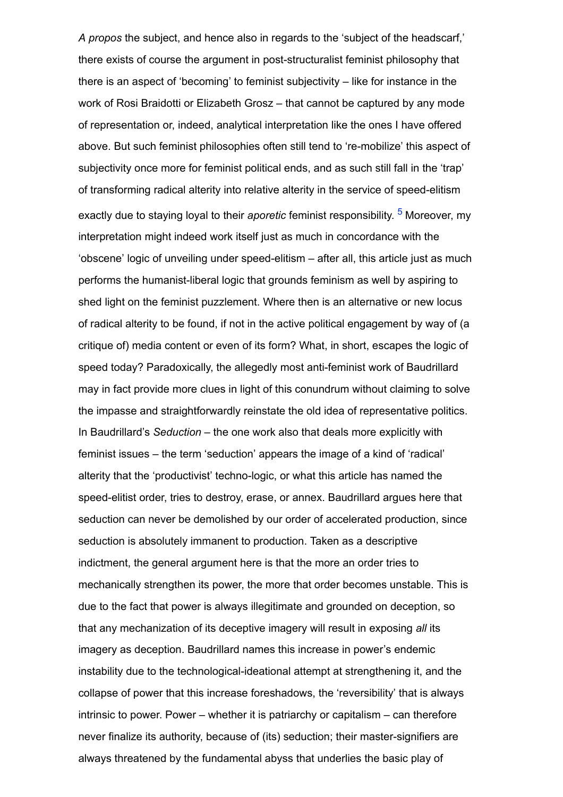<span id="page-10-0"></span>A propos the subject, and hence also in regards to the 'subject of the headscarf,' there exists of course the argument in post-structuralist feminist philosophy that there is an aspect of 'becoming' to feminist subjectivity – like for instance in the work of Rosi Braidotti or Elizabeth Grosz – that cannot be captured by any mode of representation or, indeed, analytical interpretation like the ones I have offered above. But such feminist philosophies often still tend to 're-mobilize' this aspect of subjectivity once more for feminist political ends, and as such still fall in the 'trap' of transforming radical alterity into relative alterity in the service of speed-elitism exactly due to staying loyal to their *aporetic* feminist responsibility. <sup>[5](#page-21-2)</sup> Moreover, my interpretation might indeed work itself just as much in concordance with the 'obscene' logic of unveiling under speed-elitism – after all, this article just as much performs the humanist-liberal logic that grounds feminism as well by aspiring to shed light on the feminist puzzlement. Where then is an alternative or new locus of radical alterity to be found, if not in the active political engagement by way of (a critique of) media content or even of its form? What, in short, escapes the logic of speed today? Paradoxically, the allegedly most anti-feminist work of Baudrillard may in fact provide more clues in light of this conundrum without claiming to solve the impasse and straightforwardly reinstate the old idea of representative politics. In Baudrillard's Seduction – the one work also that deals more explicitly with feminist issues – the term 'seduction' appears the image of a kind of 'radical' alterity that the 'productivist' techno-logic, or what this article has named the speed-elitist order, tries to destroy, erase, or annex. Baudrillard argues here that seduction can never be demolished by our order of accelerated production, since seduction is absolutely immanent to production. Taken as a descriptive indictment, the general argument here is that the more an order tries to mechanically strengthen its power, the more that order becomes unstable. This is due to the fact that power is always illegitimate and grounded on deception, so that any mechanization of its deceptive imagery will result in exposing all its imagery as deception. Baudrillard names this increase in power's endemic instability due to the technological-ideational attempt at strengthening it, and the collapse of power that this increase foreshadows, the 'reversibility' that is always intrinsic to power. Power – whether it is patriarchy or capitalism – can therefore never finalize its authority, because of (its) seduction; their master-signifiers are always threatened by the fundamental abyss that underlies the basic play of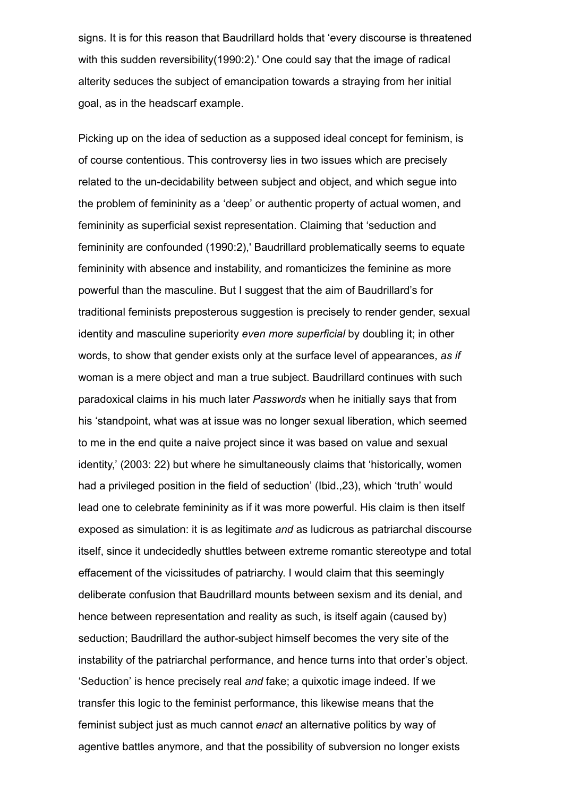signs. It is for this reason that Baudrillard holds that 'every discourse is threatened with this sudden reversibility(1990:2).' One could say that the image of radical alterity seduces the subject of emancipation towards a straying from her initial goal, as in the headscarf example.

Picking up on the idea of seduction as a supposed ideal concept for feminism, is of course contentious. This controversy lies in two issues which are precisely related to the un-decidability between subject and object, and which segue into the problem of femininity as a 'deep' or authentic property of actual women, and femininity as superficial sexist representation. Claiming that 'seduction and femininity are confounded (1990:2),' Baudrillard problematically seems to equate femininity with absence and instability, and romanticizes the feminine as more powerful than the masculine. But I suggest that the aim of Baudrillard's for traditional feminists preposterous suggestion is precisely to render gender, sexual identity and masculine superiority even more superficial by doubling it; in other words, to show that gender exists only at the surface level of appearances, as if woman is a mere object and man a true subject. Baudrillard continues with such paradoxical claims in his much later Passwords when he initially says that from his 'standpoint, what was at issue was no longer sexual liberation, which seemed to me in the end quite a naive project since it was based on value and sexual identity,' (2003: 22) but where he simultaneously claims that 'historically, women had a privileged position in the field of seduction' (Ibid.,23), which 'truth' would lead one to celebrate femininity as if it was more powerful. His claim is then itself exposed as simulation: it is as legitimate and as ludicrous as patriarchal discourse itself, since it undecidedly shuttles between extreme romantic stereotype and total effacement of the vicissitudes of patriarchy. I would claim that this seemingly deliberate confusion that Baudrillard mounts between sexism and its denial, and hence between representation and reality as such, is itself again (caused by) seduction; Baudrillard the author-subject himself becomes the very site of the instability of the patriarchal performance, and hence turns into that order's object. 'Seduction' is hence precisely real and fake; a quixotic image indeed. If we transfer this logic to the feminist performance, this likewise means that the feminist subject just as much cannot enact an alternative politics by way of agentive battles anymore, and that the possibility of subversion no longer exists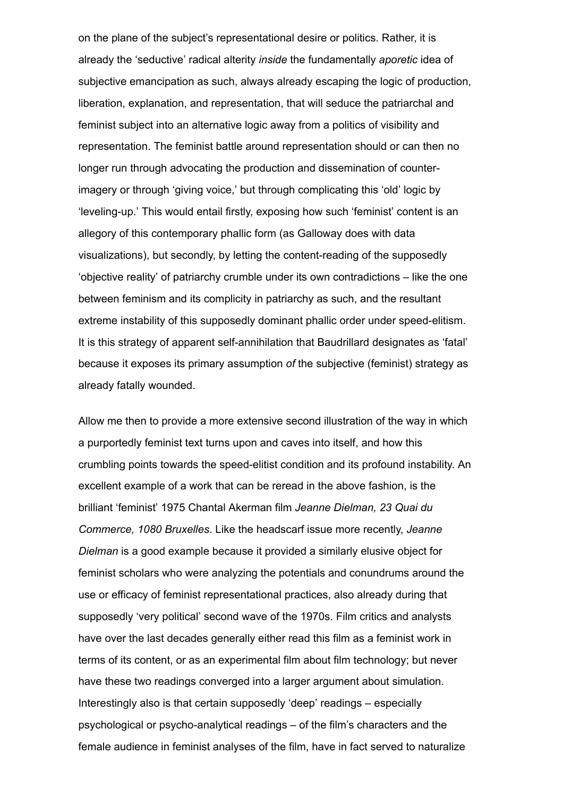on the plane of the subject's representational desire or politics. Rather, it is already the 'seductive' radical alterity inside the fundamentally aporetic idea of subjective emancipation as such, always already escaping the logic of production, liberation, explanation, and representation, that will seduce the patriarchal and feminist subject into an alternative logic away from a politics of visibility and representation. The feminist battle around representation should or can then no longer run through advocating the production and dissemination of counterimagery or through 'giving voice,' but through complicating this 'old' logic by 'leveling-up.' This would entail firstly, exposing how such 'feminist' content is an allegory of this contemporary phallic form (as Galloway does with data visualizations), but secondly, by letting the content-reading of the supposedly 'objective reality' of patriarchy crumble under its own contradictions – like the one between feminism and its complicity in patriarchy as such, and the resultant extreme instability of this supposedly dominant phallic order under speed-elitism. It is this strategy of apparent self-annihilation that Baudrillard designates as 'fatal' because it exposes its primary assumption of the subjective (feminist) strategy as already fatally wounded.

Allow me then to provide a more extensive second illustration of the way in which a purportedly feminist text turns upon and caves into itself, and how this crumbling points towards the speed-elitist condition and its profound instability. An excellent example of a work that can be reread in the above fashion, is the brilliant 'feminist' 1975 Chantal Akerman film Jeanne Dielman, 23 Quai du Commerce, 1080 Bruxelles. Like the headscarf issue more recently, Jeanne Dielman is a good example because it provided a similarly elusive object for feminist scholars who were analyzing the potentials and conundrums around the use or efficacy of feminist representational practices, also already during that supposedly 'very political' second wave of the 1970s. Film critics and analysts have over the last decades generally either read this film as a feminist work in terms of its content, or as an experimental film about film technology; but never have these two readings converged into a larger argument about simulation. Interestingly also is that certain supposedly 'deep' readings – especially psychological or psycho-analytical readings  $-$  of the film's characters and the female audience in feminist analyses of the film, have in fact served to naturalize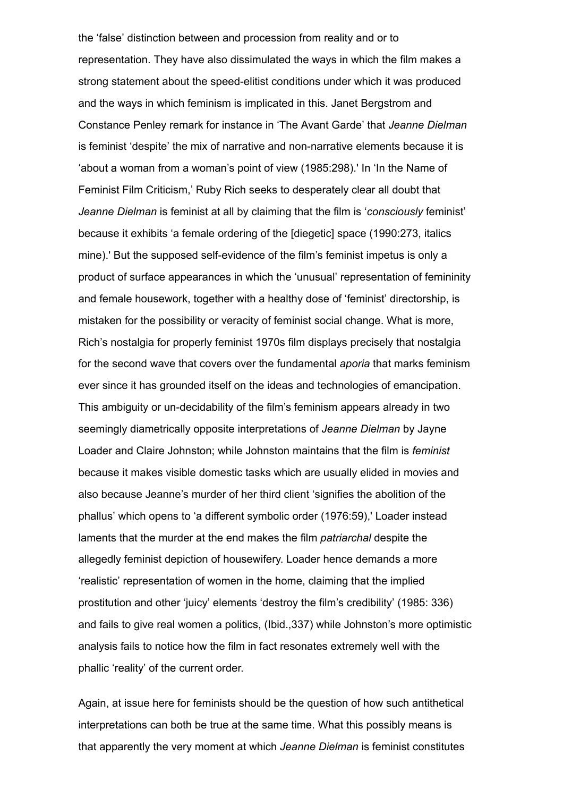the 'false' distinction between and procession from reality and or to representation. They have also dissimulated the ways in which the film makes a strong statement about the speed-elitist conditions under which it was produced and the ways in which feminism is implicated in this. Janet Bergstrom and Constance Penley remark for instance in 'The Avant Garde' that Jeanne Dielman is feminist 'despite' the mix of narrative and non-narrative elements because it is 'about a woman from a woman's point of view (1985:298).' In 'In the Name of Feminist Film Criticism,' Ruby Rich seeks to desperately clear all doubt that Jeanne Dielman is feminist at all by claiming that the film is 'consciously feminist' because it exhibits 'a female ordering of the [diegetic] space (1990:273, italics mine).' But the supposed self-evidence of the film's feminist impetus is only a product of surface appearances in which the 'unusual' representation of femininity and female housework, together with a healthy dose of 'feminist' directorship, is mistaken for the possibility or veracity of feminist social change. What is more, Rich's nostalgia for properly feminist 1970s film displays precisely that nostalgia for the second wave that covers over the fundamental *aporia* that marks feminism ever since it has grounded itself on the ideas and technologies of emancipation. This ambiguity or un-decidability of the film's feminism appears already in two seemingly diametrically opposite interpretations of Jeanne Dielman by Jayne Loader and Claire Johnston; while Johnston maintains that the film is feminist because it makes visible domestic tasks which are usually elided in movies and also because Jeanne's murder of her third client 'signifies the abolition of the phallus' which opens to 'a different symbolic order (1976:59),' Loader instead laments that the murder at the end makes the film patriarchal despite the allegedly feminist depiction of housewifery. Loader hence demands a more 'realistic' representation of women in the home, claiming that the implied prostitution and other 'juicy' elements 'destroy the film's credibility' (1985: 336) and fails to give real women a politics, (Ibid.,337) while Johnston's more optimistic analysis fails to notice how the film in fact resonates extremely well with the phallic 'reality' of the current order.

Again, at issue here for feminists should be the question of how such antithetical interpretations can both be true at the same time. What this possibly means is that apparently the very moment at which Jeanne Dielman is feminist constitutes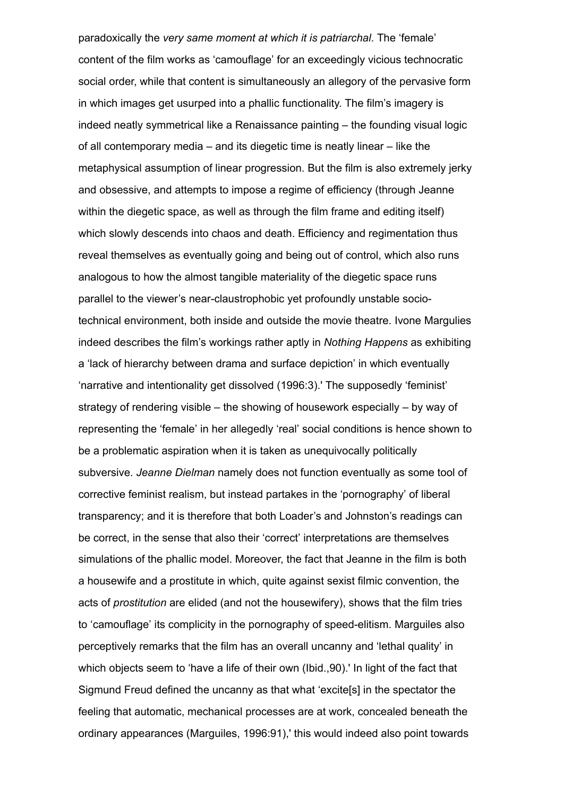paradoxically the very same moment at which it is patriarchal. The 'female' content of the film works as 'camouflage' for an exceedingly vicious technocratic social order, while that content is simultaneously an allegory of the pervasive form in which images get usurped into a phallic functionality. The film's imagery is indeed neatly symmetrical like a Renaissance painting – the founding visual logic of all contemporary media – and its diegetic time is neatly linear – like the metaphysical assumption of linear progression. But the film is also extremely jerky and obsessive, and attempts to impose a regime of efficiency (through Jeanne within the diegetic space, as well as through the film frame and editing itself) which slowly descends into chaos and death. Efficiency and regimentation thus reveal themselves as eventually going and being out of control, which also runs analogous to how the almost tangible materiality of the diegetic space runs parallel to the viewer's near-claustrophobic yet profoundly unstable sociotechnical environment, both inside and outside the movie theatre. Ivone Margulies indeed describes the film's workings rather aptly in Nothing Happens as exhibiting a 'lack of hierarchy between drama and surface depiction' in which eventually 'narrative and intentionality get dissolved (1996:3).' The supposedly 'feminist' strategy of rendering visible – the showing of housework especially – by way of representing the 'female' in her allegedly 'real' social conditions is hence shown to be a problematic aspiration when it is taken as unequivocally politically subversive. Jeanne Dielman namely does not function eventually as some tool of corrective feminist realism, but instead partakes in the 'pornography' of liberal transparency; and it is therefore that both Loader's and Johnston's readings can be correct, in the sense that also their 'correct' interpretations are themselves simulations of the phallic model. Moreover, the fact that Jeanne in the film is both a housewife and a prostitute in which, quite against sexist filmic convention, the acts of prostitution are elided (and not the housewifery), shows that the film tries to 'camouflage' its complicity in the pornography of speed-elitism. Marguiles also perceptively remarks that the film has an overall uncanny and 'lethal quality' in which objects seem to 'have a life of their own (Ibid.,90).' In light of the fact that Sigmund Freud defined the uncanny as that what 'excite[s] in the spectator the feeling that automatic, mechanical processes are at work, concealed beneath the ordinary appearances (Marguiles, 1996:91),' this would indeed also point towards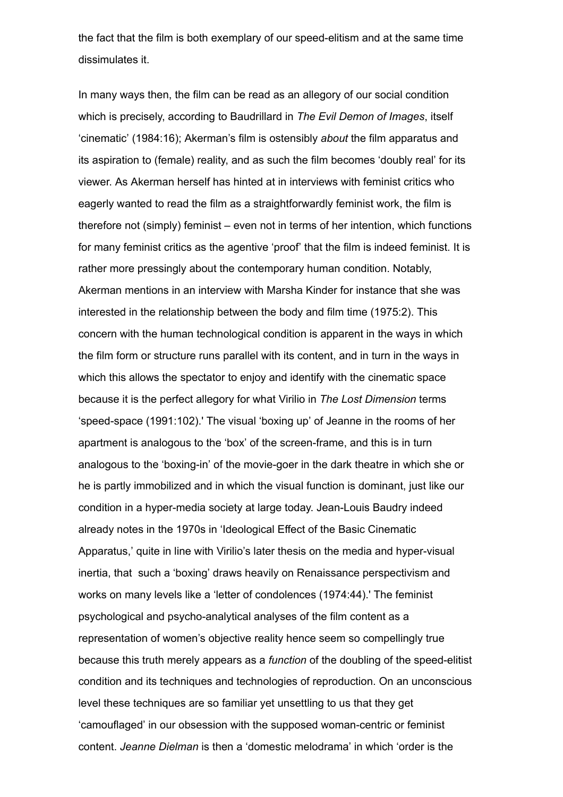the fact that the film is both exemplary of our speed-elitism and at the same time dissimulates it.

In many ways then, the film can be read as an allegory of our social condition which is precisely, according to Baudrillard in The Evil Demon of Images, itself 'cinematic' (1984:16); Akerman's film is ostensibly about the film apparatus and its aspiration to (female) reality, and as such the film becomes 'doubly real' for its viewer. As Akerman herself has hinted at in interviews with feminist critics who eagerly wanted to read the film as a straightforwardly feminist work, the film is therefore not (simply) feminist – even not in terms of her intention, which functions for many feminist critics as the agentive 'proof' that the film is indeed feminist. It is rather more pressingly about the contemporary human condition. Notably, Akerman mentions in an interview with Marsha Kinder for instance that she was interested in the relationship between the body and film time (1975:2). This concern with the human technological condition is apparent in the ways in which the film form or structure runs parallel with its content, and in turn in the ways in which this allows the spectator to enjoy and identify with the cinematic space because it is the perfect allegory for what Virilio in The Lost Dimension terms 'speed-space (1991:102).' The visual 'boxing up' of Jeanne in the rooms of her apartment is analogous to the 'box' of the screen-frame, and this is in turn analogous to the 'boxing-in' of the movie-goer in the dark theatre in which she or he is partly immobilized and in which the visual function is dominant, just like our condition in a hyper-media society at large today. Jean-Louis Baudry indeed already notes in the 1970s in 'Ideological Effect of the Basic Cinematic Apparatus,' quite in line with Virilio's later thesis on the media and hyper-visual inertia, that such a 'boxing' draws heavily on Renaissance perspectivism and works on many levels like a 'letter of condolences (1974:44).' The feminist psychological and psycho-analytical analyses of the film content as a representation of women's objective reality hence seem so compellingly true because this truth merely appears as a *function* of the doubling of the speed-elitist condition and its techniques and technologies of reproduction. On an unconscious level these techniques are so familiar yet unsettling to us that they get 'camouflaged' in our obsession with the supposed woman-centric or feminist content. Jeanne Dielman is then a 'domestic melodrama' in which 'order is the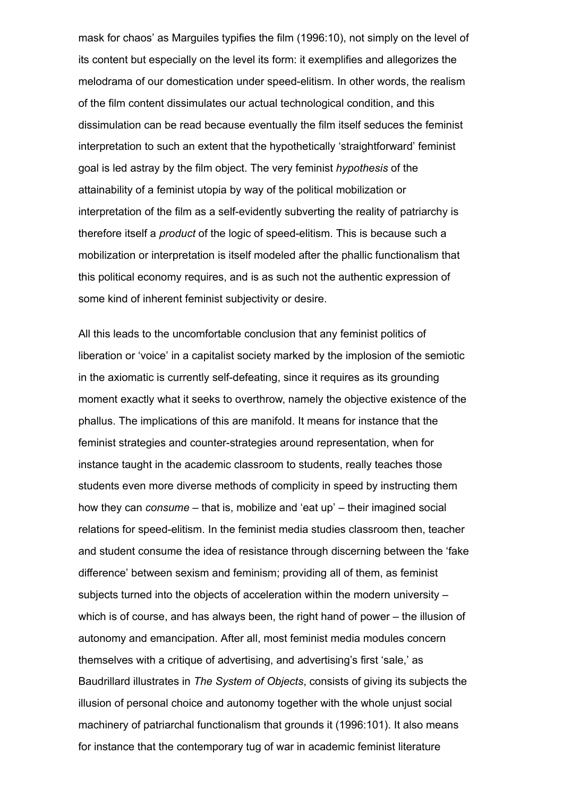mask for chaos' as Marguiles typifies the film (1996:10), not simply on the level of its content but especially on the level its form: it exemplifies and allegorizes the melodrama of our domestication under speed-elitism. In other words, the realism of the film content dissimulates our actual technological condition, and this dissimulation can be read because eventually the film itself seduces the feminist interpretation to such an extent that the hypothetically 'straightforward' feminist goal is led astray by the film object. The very feminist hypothesis of the attainability of a feminist utopia by way of the political mobilization or interpretation of the film as a self-evidently subverting the reality of patriarchy is therefore itself a *product* of the logic of speed-elitism. This is because such a mobilization or interpretation is itself modeled after the phallic functionalism that this political economy requires, and is as such not the authentic expression of some kind of inherent feminist subjectivity or desire.

All this leads to the uncomfortable conclusion that any feminist politics of liberation or 'voice' in a capitalist society marked by the implosion of the semiotic in the axiomatic is currently self-defeating, since it requires as its grounding moment exactly what it seeks to overthrow, namely the objective existence of the phallus. The implications of this are manifold. It means for instance that the feminist strategies and counter-strategies around representation, when for instance taught in the academic classroom to students, really teaches those students even more diverse methods of complicity in speed by instructing them how they can consume – that is, mobilize and 'eat up' – their imagined social relations for speed-elitism. In the feminist media studies classroom then, teacher and student consume the idea of resistance through discerning between the 'fake difference' between sexism and feminism; providing all of them, as feminist subjects turned into the objects of acceleration within the modern university – which is of course, and has always been, the right hand of power – the illusion of autonomy and emancipation. After all, most feminist media modules concern themselves with a critique of advertising, and advertising's first 'sale,' as Baudrillard illustrates in The System of Objects, consists of giving its subjects the illusion of personal choice and autonomy together with the whole unjust social machinery of patriarchal functionalism that grounds it (1996:101). It also means for instance that the contemporary tug of war in academic feminist literature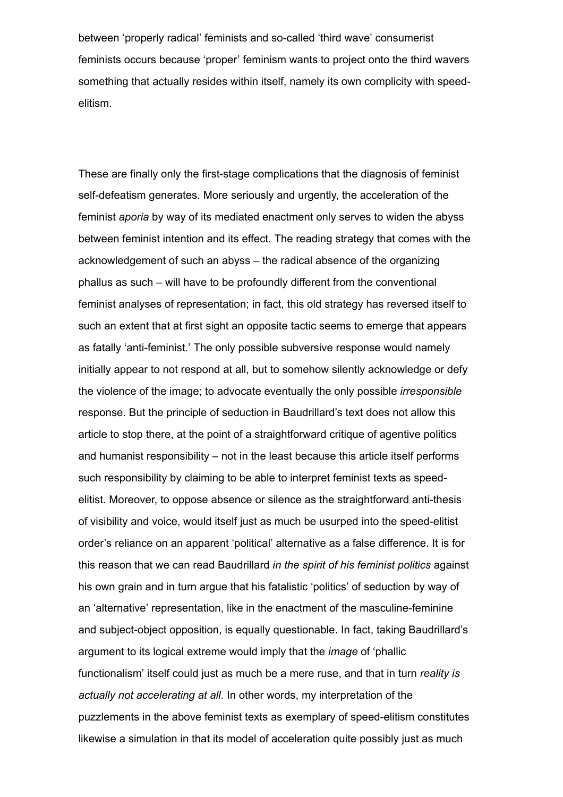between 'properly radical' feminists and so-called 'third wave' consumerist feminists occurs because 'proper' feminism wants to project onto the third wavers something that actually resides within itself, namely its own complicity with speedelitism.

These are finally only the first-stage complications that the diagnosis of feminist self-defeatism generates. More seriously and urgently, the acceleration of the feminist aporia by way of its mediated enactment only serves to widen the abyss between feminist intention and its effect. The reading strategy that comes with the acknowledgement of such an abyss – the radical absence of the organizing phallus as such – will have to be profoundly different from the conventional feminist analyses of representation; in fact, this old strategy has reversed itself to such an extent that at first sight an opposite tactic seems to emerge that appears as fatally 'anti-feminist.' The only possible subversive response would namely initially appear to not respond at all, but to somehow silently acknowledge or defy the violence of the image; to advocate eventually the only possible irresponsible response. But the principle of seduction in Baudrillard's text does not allow this article to stop there, at the point of a straightforward critique of agentive politics and humanist responsibility – not in the least because this article itself performs such responsibility by claiming to be able to interpret feminist texts as speedelitist. Moreover, to oppose absence or silence as the straightforward anti-thesis of visibility and voice, would itself just as much be usurped into the speed-elitist order's reliance on an apparent 'political' alternative as a false difference. It is for this reason that we can read Baudrillard in the spirit of his feminist politics against his own grain and in turn argue that his fatalistic 'politics' of seduction by way of an 'alternative' representation, like in the enactment of the masculine-feminine and subject-object opposition, is equally questionable. In fact, taking Baudrillard's argument to its logical extreme would imply that the image of 'phallic functionalism' itself could just as much be a mere ruse, and that in turn *reality is* actually not accelerating at all. In other words, my interpretation of the puzzlements in the above feminist texts as exemplary of speed-elitism constitutes likewise a simulation in that its model of acceleration quite possibly just as much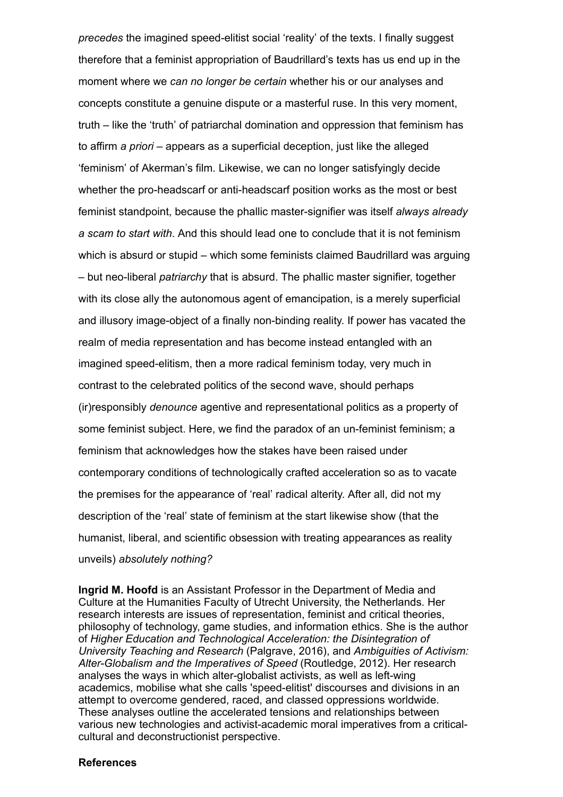precedes the imagined speedelitist social 'reality' of the texts. I finally suggest therefore that a feminist appropriation of Baudrillard's texts has us end up in the moment where we can no longer be certain whether his or our analyses and concepts constitute a genuine dispute or a masterful ruse. In this very moment, truth – like the 'truth' of patriarchal domination and oppression that feminism has to affirm a priori – appears as a superficial deception, just like the alleged 'feminism' of Akerman's film. Likewise, we can no longer satisfyingly decide whether the pro-headscarf or anti-headscarf position works as the most or best feminist standpoint, because the phallic master-signifier was itself always already a scam to start with. And this should lead one to conclude that it is not feminism which is absurd or stupid – which some feminists claimed Baudrillard was arguing – but neo-liberal *patriarchy* that is absurd. The phallic master signifier, together with its close ally the autonomous agent of emancipation, is a merely superficial and illusory image-object of a finally non-binding reality. If power has vacated the realm of media representation and has become instead entangled with an imagined speed-elitism, then a more radical feminism today, very much in contrast to the celebrated politics of the second wave, should perhaps (ir)responsibly denounce agentive and representational politics as a property of some feminist subject. Here, we find the paradox of an un-feminist feminism; a feminism that acknowledges how the stakes have been raised under contemporary conditions of technologically crafted acceleration so as to vacate the premises for the appearance of 'real' radical alterity. After all, did not my description of the 'real' state of feminism at the start likewise show (that the humanist, liberal, and scientific obsession with treating appearances as reality unveils) absolutely nothing?

Ingrid M. Hoofd is an Assistant Professor in the Department of Media and Culture at the Humanities Faculty of Utrecht University, the Netherlands. Her research interests are issues of representation, feminist and critical theories, philosophy of technology, game studies, and information ethics. She is the author of Higher Education and Technological Acceleration: the Disintegration of University Teaching and Research (Palgrave, 2016), and Ambiguities of Activism: Alter-Globalism and the Imperatives of Speed (Routledge, 2012). Her research analyses the ways in which alter-globalist activists, as well as left-wing academics, mobilise what she calls 'speed-elitist' discourses and divisions in an attempt to overcome gendered, raced, and classed oppressions worldwide. These analyses outline the accelerated tensions and relationships between various new technologies and activist-academic moral imperatives from a criticalcultural and deconstructionist perspective.

## **References**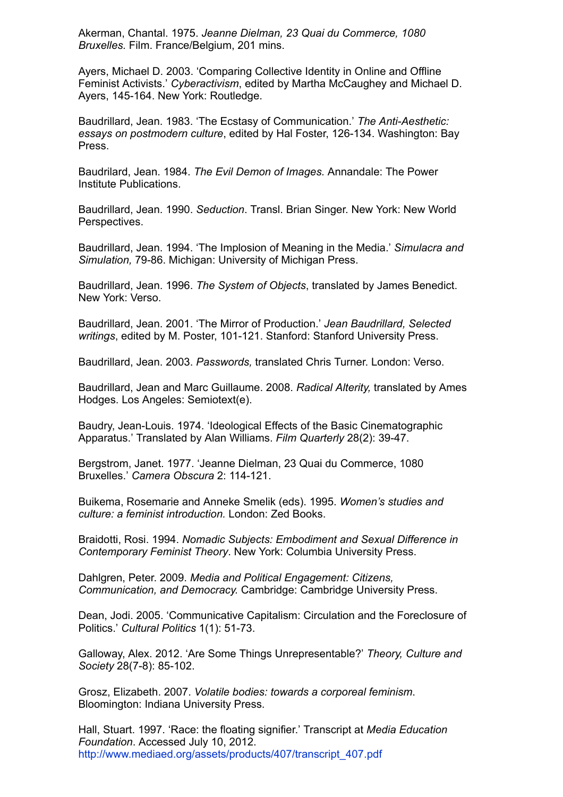Akerman, Chantal. 1975. Jeanne Dielman, 23 Quai du Commerce, 1080 Bruxelles. Film. France/Belgium, 201 mins.

Ayers, Michael D. 2003. 'Comparing Collective Identity in Online and Offline Feminist Activists.' Cyberactivism, edited by Martha McCaughey and Michael D. Ayers, 145-164. New York: Routledge.

Baudrillard, Jean. 1983. 'The Ecstasy of Communication.' The Anti-Aesthetic: essays on postmodern culture, edited by Hal Foster, 126-134. Washington: Bay Press.

Baudrilard, Jean. 1984. The Evil Demon of Images. Annandale: The Power Institute Publications.

Baudrillard, Jean. 1990. Seduction. Transl. Brian Singer. New York: New World Perspectives.

Baudrillard, Jean. 1994. 'The Implosion of Meaning in the Media.' Simulacra and Simulation, 79-86. Michigan: University of Michigan Press.

Baudrillard, Jean. 1996. The System of Objects, translated by James Benedict. New York: Verso.

Baudrillard, Jean. 2001. 'The Mirror of Production.' Jean Baudrillard, Selected writings, edited by M. Poster, 101-121. Stanford: Stanford University Press.

Baudrillard, Jean. 2003. Passwords, translated Chris Turner. London: Verso.

Baudrillard, Jean and Marc Guillaume. 2008. Radical Alterity, translated by Ames Hodges. Los Angeles: Semiotext(e).

Baudry, JeanLouis. 1974. 'Ideological Effects of the Basic Cinematographic Apparatus.' Translated by Alan Williams. Film Quarterly 28(2): 39-47.

Bergstrom, Janet. 1977. 'Jeanne Dielman, 23 Quai du Commerce, 1080 Bruxelles.' Camera Obscura 2: 114-121.

Buikema, Rosemarie and Anneke Smelik (eds). 1995. Women's studies and culture: a feminist introduction. London: Zed Books.

Braidotti, Rosi. 1994. Nomadic Subjects: Embodiment and Sexual Difference in Contemporary Feminist Theory. New York: Columbia University Press.

Dahlgren, Peter. 2009. Media and Political Engagement: Citizens, Communication, and Democracy. Cambridge: Cambridge University Press.

Dean, Jodi. 2005. 'Communicative Capitalism: Circulation and the Foreclosure of Politics.' Cultural Politics 1(1): 51-73.

Galloway, Alex. 2012. 'Are Some Things Unrepresentable?' Theory, Culture and Society 28(7-8): 85-102.

Grosz, Elizabeth. 2007. Volatile bodies: towards a corporeal feminism. Bloomington: Indiana University Press.

Hall, Stuart. 1997. 'Race: the floating signifier.' Transcript at Media Education Foundation. Accessed July 10, 2012. [http://www.mediaed.org/assets/products/407/transcript\\_407.pdf](http://www.mediaed.org/assets/products/407/transcript_407.pdf)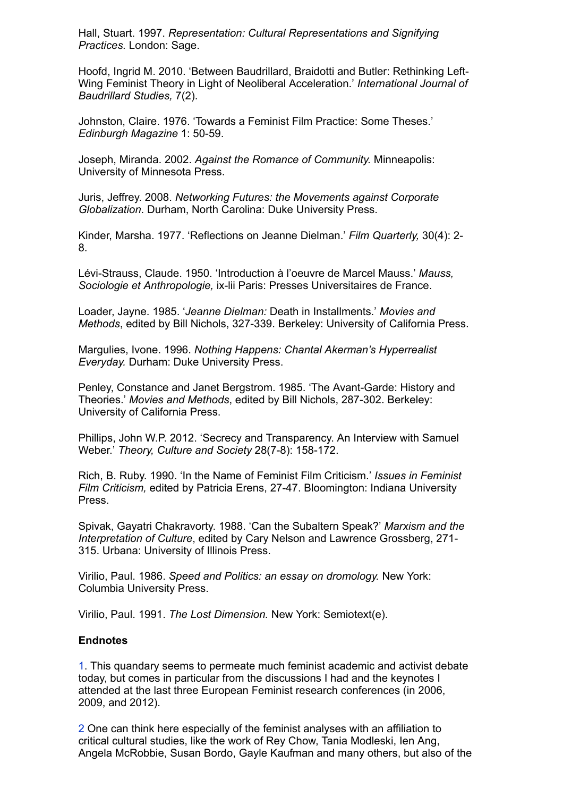Hall, Stuart. 1997. Representation: Cultural Representations and Signifying Practices. London: Sage.

Hoofd, Ingrid M. 2010. 'Between Baudrillard, Braidotti and Butler: Rethinking Left-Wing Feminist Theory in Light of Neoliberal Acceleration.' International Journal of Baudrillard Studies, 7(2).

Johnston, Claire. 1976. 'Towards a Feminist Film Practice: Some Theses.' Edinburgh Magazine 1: 50-59.

Joseph, Miranda. 2002. Against the Romance of Community. Minneapolis: University of Minnesota Press.

Juris, Jeffrey. 2008. Networking Futures: the Movements against Corporate Globalization. Durham, North Carolina: Duke University Press.

Kinder, Marsha. 1977. 'Reflections on Jeanne Dielman.' Film Quarterly, 30(4): 2 8.

Lévi-Strauss, Claude. 1950. 'Introduction à l'oeuvre de Marcel Mauss.' Mauss, Sociologie et Anthropologie, ix-lii Paris: Presses Universitaires de France.

Loader, Jayne. 1985. 'Jeanne Dielman: Death in Installments.' Movies and Methods, edited by Bill Nichols, 327-339. Berkeley: University of California Press.

Margulies, Ivone. 1996. Nothing Happens: Chantal Akerman's Hyperrealist Everyday. Durham: Duke University Press.

Penley, Constance and Janet Bergstrom. 1985. 'The Avant-Garde: History and Theories.' Movies and Methods, edited by Bill Nichols, 287-302. Berkeley: University of California Press.

Phillips, John W.P. 2012. 'Secrecy and Transparency. An Interview with Samuel Weber.' Theory, Culture and Society 28(7-8): 158-172.

Rich, B. Ruby. 1990. 'In the Name of Feminist Film Criticism.' Issues in Feminist Film Criticism, edited by Patricia Erens, 27-47. Bloomington: Indiana University Press.

Spivak, Gayatri Chakravorty. 1988. 'Can the Subaltern Speak?' Marxism and the Interpretation of Culture, edited by Cary Nelson and Lawrence Grossberg, 271 315. Urbana: University of Illinois Press.

Virilio, Paul. 1986. Speed and Politics: an essay on dromology. New York: Columbia University Press.

Virilio, Paul. 1991. The Lost Dimension. New York: Semiotext(e).

## **Endnotes**

<span id="page-20-0"></span>[1](#page-0-0). This quandary seems to permeate much feminist academic and activist debate today, but comes in particular from the discussions I had and the keynotes I attended at the last three European Feminist research conferences (in 2006, 2009, and 2012).

<span id="page-20-1"></span>[2](#page-1-0) One can think here especially of the feminist analyses with an affiliation to critical cultural studies, like the work of Rey Chow, Tania Modleski, Ien Ang, Angela McRobbie, Susan Bordo, Gayle Kaufman and many others, but also of the